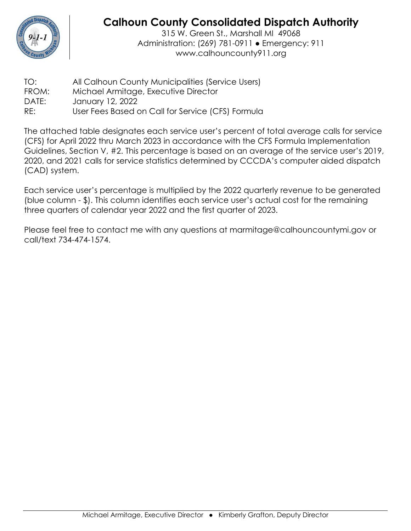

## **Calhoun County Consolidated Dispatch Authority**

315 W. Green St., Marshall MI 49068 Administration: (269) 781-0911 ● Emergency: 911 www.calhouncounty911.org

| TO:   | All Calhoun County Municipalities (Service Users) |
|-------|---------------------------------------------------|
| FROM: | Michael Armitage, Executive Director              |
| DATE: | January 12, 2022                                  |
| RE:   | User Fees Based on Call for Service (CFS) Formula |

The attached table designates each service user's percent of total average calls for service (CFS) for April 2022 thru March 2023 in accordance with the CFS Formula Implementation Guidelines, Section V, #2. This percentage is based on an average of the service user's 2019, 2020, and 2021 calls for service statistics determined by CCCDA's computer aided dispatch (CAD) system.

Each service user's percentage is multiplied by the 2022 quarterly revenue to be generated (blue column - \$). This column identifies each service user's actual cost for the remaining three quarters of calendar year 2022 and the first quarter of 2023.

Please feel free to contact me with any questions at marmitage@calhouncountymi.gov or call/text 734-474-1574.